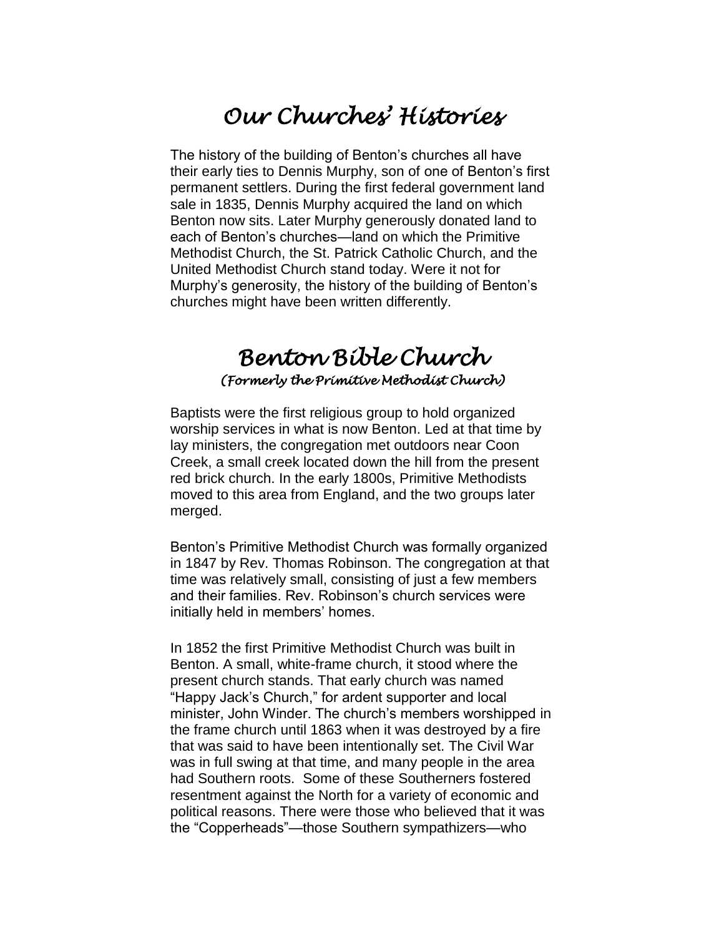## *Our Churches' Histories*

The history of the building of Benton's churches all have their early ties to Dennis Murphy, son of one of Benton's first permanent settlers. During the first federal government land sale in 1835, Dennis Murphy acquired the land on which Benton now sits. Later Murphy generously donated land to each of Benton's churches—land on which the Primitive Methodist Church, the St. Patrick Catholic Church, and the United Methodist Church stand today. Were it not for Murphy's generosity, the history of the building of Benton's churches might have been written differently.

## *Benton Bible Church (Formerly the Primitive Methodist Church)*

Baptists were the first religious group to hold organized worship services in what is now Benton. Led at that time by lay ministers, the congregation met outdoors near Coon Creek, a small creek located down the hill from the present red brick church. In the early 1800s, Primitive Methodists moved to this area from England, and the two groups later merged.

Benton's Primitive Methodist Church was formally organized in 1847 by Rev. Thomas Robinson. The congregation at that time was relatively small, consisting of just a few members and their families. Rev. Robinson's church services were initially held in members' homes.

In 1852 the first Primitive Methodist Church was built in Benton. A small, white-frame church, it stood where the present church stands. That early church was named "Happy Jack's Church," for ardent supporter and local minister, John Winder. The church's members worshipped in the frame church until 1863 when it was destroyed by a fire that was said to have been intentionally set. The Civil War was in full swing at that time, and many people in the area had Southern roots. Some of these Southerners fostered resentment against the North for a variety of economic and political reasons. There were those who believed that it was the "Copperheads"—those Southern sympathizers—who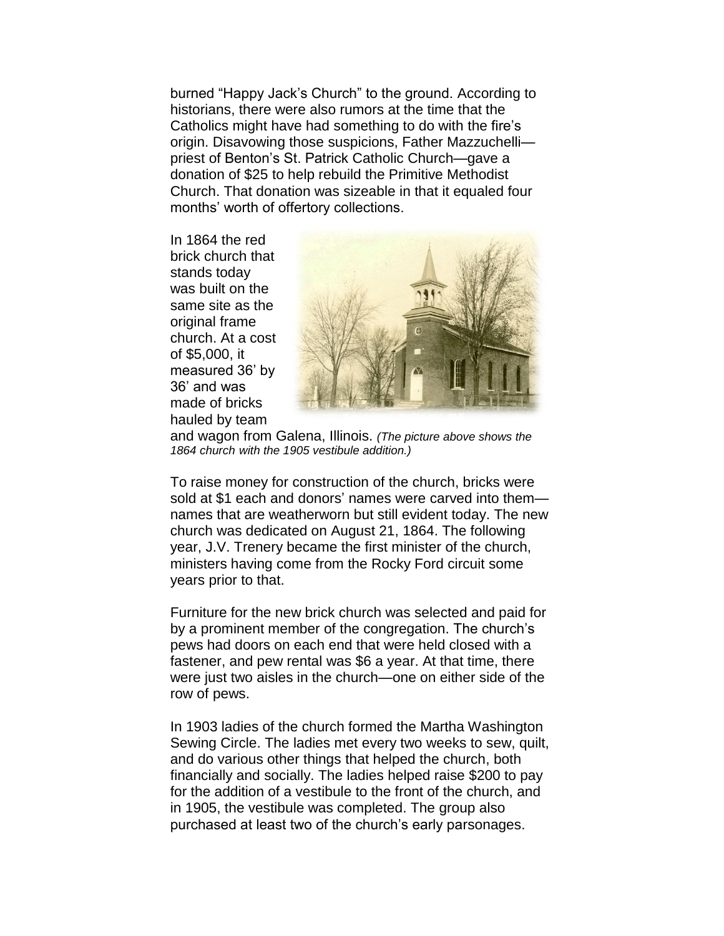burned "Happy Jack's Church" to the ground. According to historians, there were also rumors at the time that the Catholics might have had something to do with the fire's origin. Disavowing those suspicions, Father Mazzuchelli priest of Benton's St. Patrick Catholic Church—gave a donation of \$25 to help rebuild the Primitive Methodist Church. That donation was sizeable in that it equaled four months' worth of offertory collections.

In 1864 the red brick church that stands today was built on the same site as the original frame church. At a cost of \$5,000, it measured 36' by 36' and was made of bricks hauled by team



and wagon from Galena, Illinois. *(The picture above shows the 1864 church with the 1905 vestibule addition.)*

To raise money for construction of the church, bricks were sold at \$1 each and donors' names were carved into them names that are weatherworn but still evident today. The new church was dedicated on August 21, 1864. The following year, J.V. Trenery became the first minister of the church, ministers having come from the Rocky Ford circuit some years prior to that.

Furniture for the new brick church was selected and paid for by a prominent member of the congregation. The church's pews had doors on each end that were held closed with a fastener, and pew rental was \$6 a year. At that time, there were just two aisles in the church—one on either side of the row of pews.

In 1903 ladies of the church formed the Martha Washington Sewing Circle. The ladies met every two weeks to sew, quilt, and do various other things that helped the church, both financially and socially. The ladies helped raise \$200 to pay for the addition of a vestibule to the front of the church, and in 1905, the vestibule was completed. The group also purchased at least two of the church's early parsonages.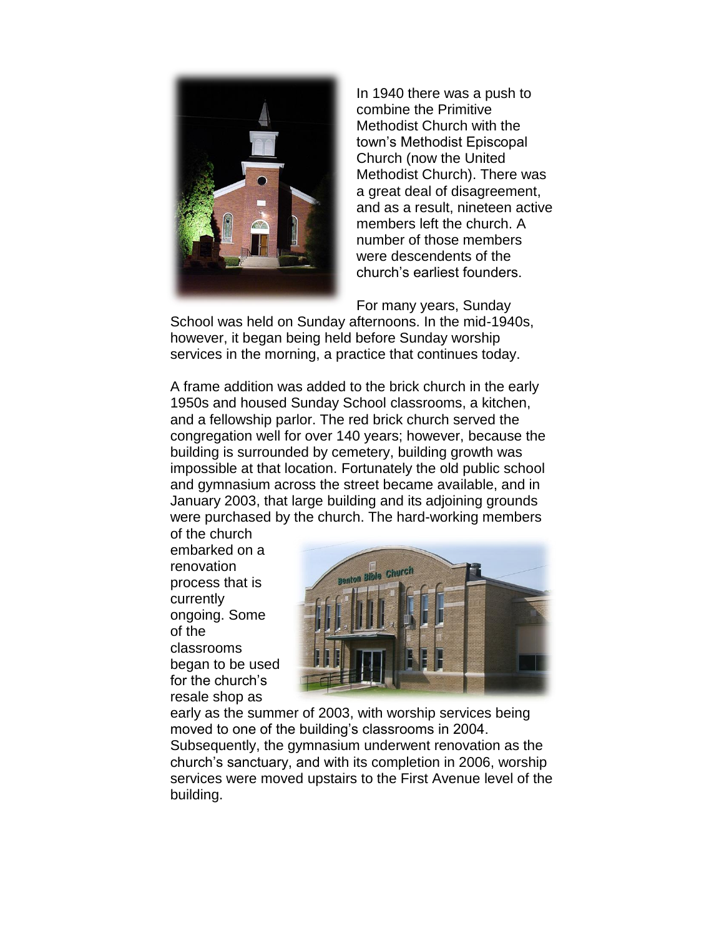

In 1940 there was a push to combine the Primitive Methodist Church with the town's Methodist Episcopal Church (now the United Methodist Church). There was a great deal of disagreement, and as a result, nineteen active members left the church. A number of those members were descendents of the church's earliest founders.

For many years, Sunday

School was held on Sunday afternoons. In the mid-1940s, however, it began being held before Sunday worship services in the morning, a practice that continues today.

A frame addition was added to the brick church in the early 1950s and housed Sunday School classrooms, a kitchen, and a fellowship parlor. The red brick church served the congregation well for over 140 years; however, because the building is surrounded by cemetery, building growth was impossible at that location. Fortunately the old public school and gymnasium across the street became available, and in January 2003, that large building and its adjoining grounds were purchased by the church. The hard-working members

of the church embarked on a renovation process that is currently ongoing. Some of the classrooms began to be used for the church's resale shop as



early as the summer of 2003, with worship services being moved to one of the building's classrooms in 2004. Subsequently, the gymnasium underwent renovation as the church's sanctuary, and with its completion in 2006, worship services were moved upstairs to the First Avenue level of the building.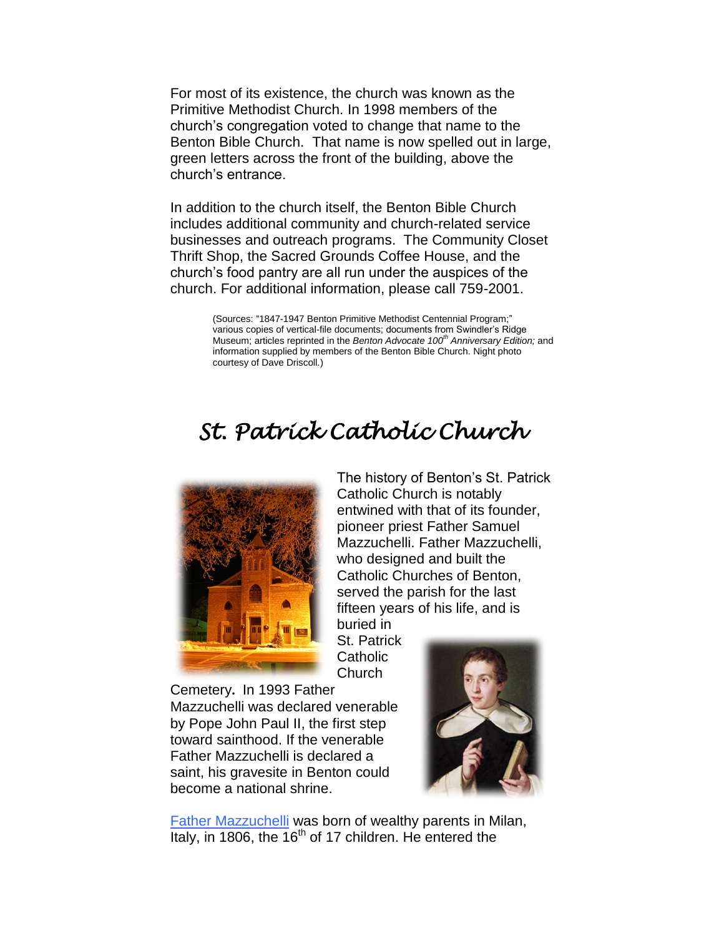For most of its existence, the church was known as the Primitive Methodist Church. In 1998 members of the church's congregation voted to change that name to the Benton Bible Church. That name is now spelled out in large, green letters across the front of the building, above the church's entrance.

In addition to the church itself, the Benton Bible Church includes additional community and church-related service businesses and outreach programs. The Community Closet Thrift Shop, the Sacred Grounds Coffee House, and the church's food pantry are all run under the auspices of the church. For additional information, please call 759-2001.

> (Sources: "1847-1947 Benton Primitive Methodist Centennial Program;" various copies of vertical-file documents; documents from Swindler's Ridge Museum; articles reprinted in the *Benton Advocate 100th Anniversary Edition;* and information supplied by members of the Benton Bible Church. Night photo courtesy of Dave Driscoll.)

## *St. Patrick Catholic Church*

St. Patrick



The history of Benton's St. Patrick Catholic Church is notably entwined with that of its founder, pioneer priest Father Samuel Mazzuchelli. Father Mazzuchelli, who designed and built the Catholic Churches of Benton, served the parish for the last fifteen years of his life, and is buried in

**Catholic** Church Cemetery**.** In 1993 Father Mazzuchelli was declared venerable by Pope John Paul II, the first step toward sainthood. If the venerable

saint, his gravesite in Benton could become a national shrine.

Father Mazzuchelli is declared a



[Father Mazzuchelli](http://www.sinsinawa.org/Mazzuchelli/Mazzuchelli_Index.html) was born of wealthy parents in Milan, Italy, in 1806, the  $16^{th}$  of 17 children. He entered the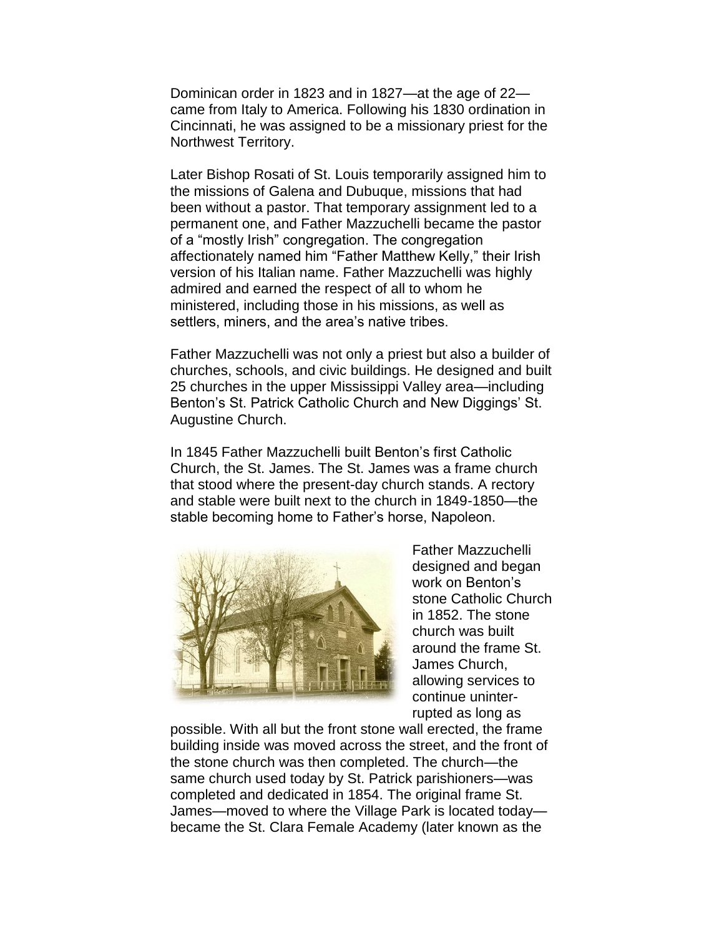Dominican order in 1823 and in 1827—at the age of 22 came from Italy to America. Following his 1830 ordination in Cincinnati, he was assigned to be a missionary priest for the Northwest Territory.

Later Bishop Rosati of St. Louis temporarily assigned him to the missions of Galena and Dubuque, missions that had been without a pastor. That temporary assignment led to a permanent one, and Father Mazzuchelli became the pastor of a "mostly Irish" congregation. The congregation affectionately named him "Father Matthew Kelly," their Irish version of his Italian name. Father Mazzuchelli was highly admired and earned the respect of all to whom he ministered, including those in his missions, as well as settlers, miners, and the area's native tribes.

Father Mazzuchelli was not only a priest but also a builder of churches, schools, and civic buildings. He designed and built 25 churches in the upper Mississippi Valley area—including Benton's St. Patrick Catholic Church and New Diggings' St. Augustine Church.

In 1845 Father Mazzuchelli built Benton's first Catholic Church, the St. James. The St. James was a frame church that stood where the present-day church stands. A rectory and stable were built next to the church in 1849-1850—the stable becoming home to Father's horse, Napoleon.



Father Mazzuchelli designed and began work on Benton's stone Catholic Church in 1852. The stone church was built around the frame St. James Church, allowing services to continue uninterrupted as long as

possible. With all but the front stone wall erected, the frame building inside was moved across the street, and the front of the stone church was then completed. The church—the same church used today by St. Patrick parishioners—was completed and dedicated in 1854. The original frame St. James—moved to where the Village Park is located today became the St. Clara Female Academy (later known as the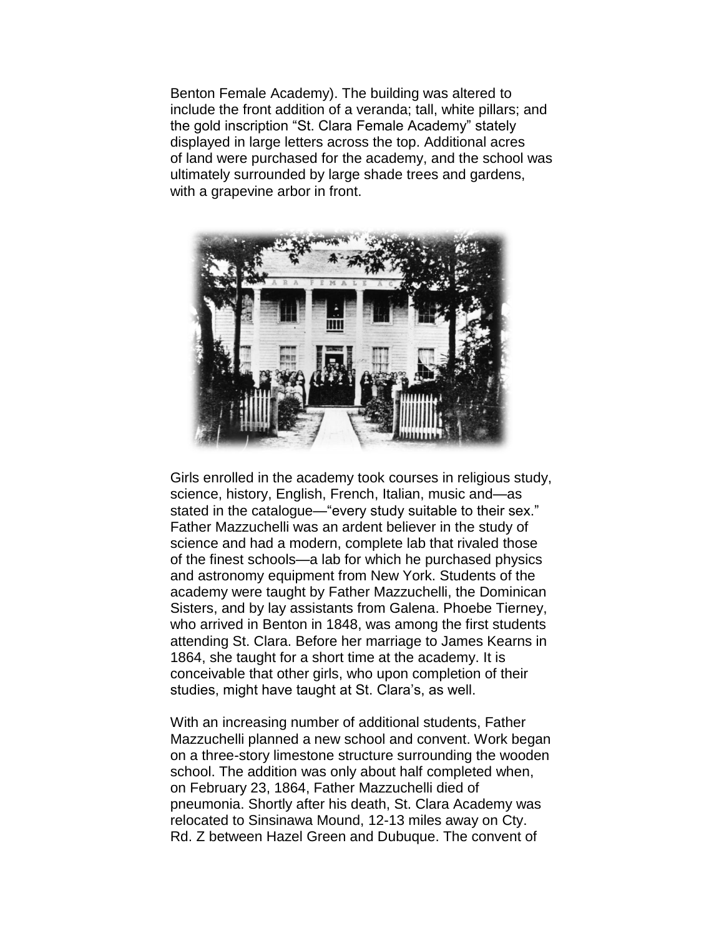Benton Female Academy). The building was altered to include the front addition of a veranda; tall, white pillars; and the gold inscription "St. Clara Female Academy" stately displayed in large letters across the top. Additional acres of land were purchased for the academy, and the school was ultimately surrounded by large shade trees and gardens, with a grapevine arbor in front.



Girls enrolled in the academy took courses in religious study, science, history, English, French, Italian, music and—as stated in the catalogue—"every study suitable to their sex." Father Mazzuchelli was an ardent believer in the study of science and had a modern, complete lab that rivaled those of the finest schools—a lab for which he purchased physics and astronomy equipment from New York. Students of the academy were taught by Father Mazzuchelli, the Dominican Sisters, and by lay assistants from Galena. Phoebe Tierney, who arrived in Benton in 1848, was among the first students attending St. Clara. Before her marriage to James Kearns in 1864, she taught for a short time at the academy. It is conceivable that other girls, who upon completion of their studies, might have taught at St. Clara's, as well.

With an increasing number of additional students, Father Mazzuchelli planned a new school and convent. Work began on a three-story limestone structure surrounding the wooden school. The addition was only about half completed when, on February 23, 1864, Father Mazzuchelli died of pneumonia. Shortly after his death, St. Clara Academy was relocated to Sinsinawa Mound, 12-13 miles away on Cty. Rd. Z between Hazel Green and Dubuque. The convent of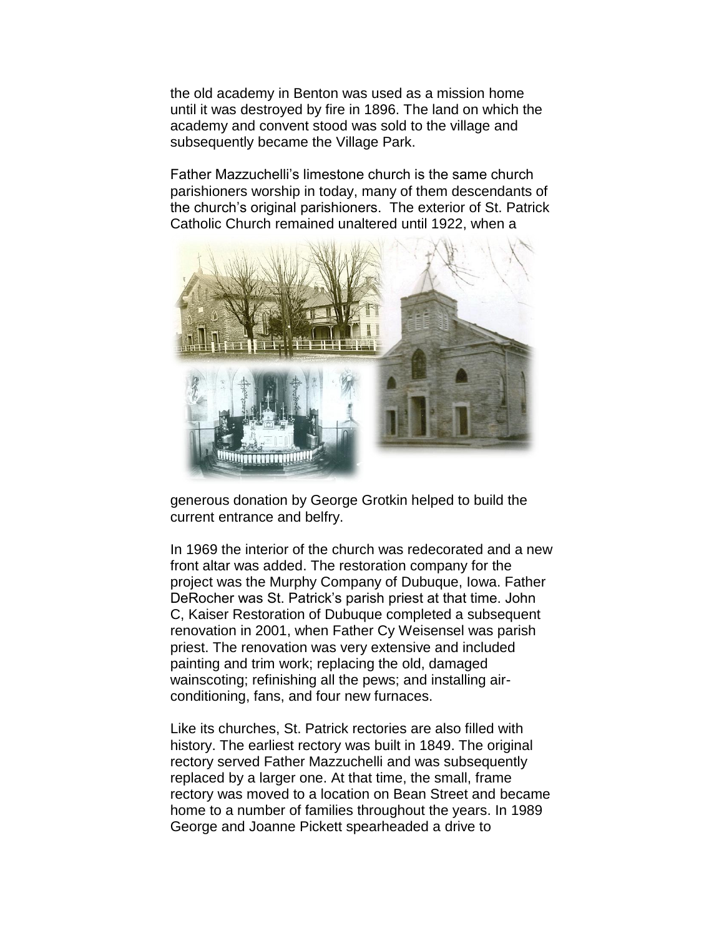the old academy in Benton was used as a mission home until it was destroyed by fire in 1896. The land on which the academy and convent stood was sold to the village and subsequently became the Village Park.

Father Mazzuchelli's limestone church is the same church parishioners worship in today, many of them descendants of the church's original parishioners. The exterior of St. Patrick Catholic Church remained unaltered until 1922, when a



generous donation by George Grotkin helped to build the current entrance and belfry.

In 1969 the interior of the church was redecorated and a new front altar was added. The restoration company for the project was the Murphy Company of Dubuque, Iowa. Father DeRocher was St. Patrick's parish priest at that time. John C, Kaiser Restoration of Dubuque completed a subsequent renovation in 2001, when Father Cy Weisensel was parish priest. The renovation was very extensive and included painting and trim work; replacing the old, damaged wainscoting; refinishing all the pews; and installing airconditioning, fans, and four new furnaces.

Like its churches, St. Patrick rectories are also filled with history. The earliest rectory was built in 1849. The original rectory served Father Mazzuchelli and was subsequently replaced by a larger one. At that time, the small, frame rectory was moved to a location on Bean Street and became home to a number of families throughout the years. In 1989 George and Joanne Pickett spearheaded a drive to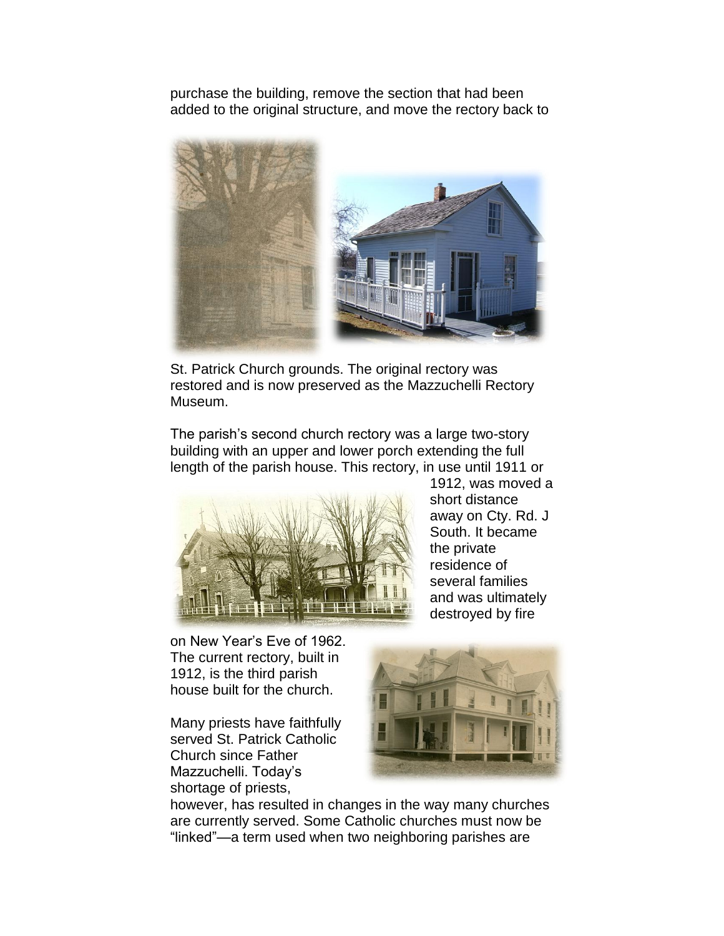purchase the building, remove the section that had been added to the original structure, and move the rectory back to



St. Patrick Church grounds. The original rectory was restored and is now preserved as the Mazzuchelli Rectory Museum.

The parish's second church rectory was a large two-story building with an upper and lower porch extending the full length of the parish house. This rectory, in use until 1911 or



1912, was moved a short distance away on Cty. Rd. J South. It became the private residence of several families and was ultimately destroyed by fire

on New Year's Eve of 1962. The current rectory, built in 1912, is the third parish house built for the church.

Many priests have faithfully served St. Patrick Catholic Church since Father Mazzuchelli. Today's shortage of priests,



however, has resulted in changes in the way many churches are currently served. Some Catholic churches must now be "linked"—a term used when two neighboring parishes are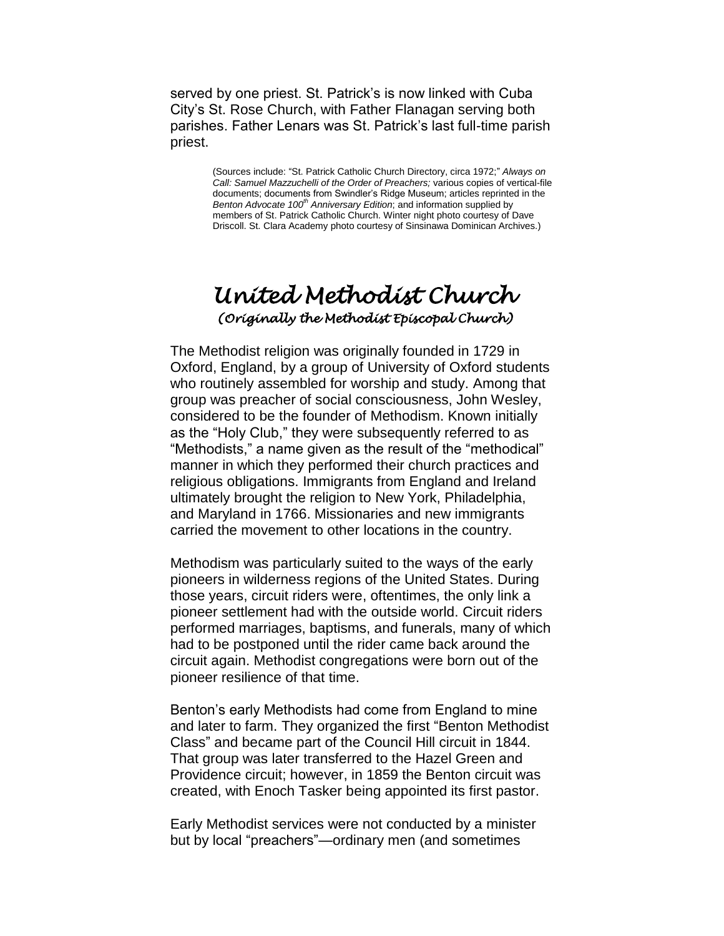served by one priest. St. Patrick's is now linked with Cuba City's St. Rose Church, with Father Flanagan serving both parishes. Father Lenars was St. Patrick's last full-time parish priest.

> (Sources include: "St. Patrick Catholic Church Directory, circa 1972;" *Always on Call: Samuel Mazzuchelli of the Order of Preachers;* various copies of vertical-file documents; documents from Swindler's Ridge Museum; articles reprinted in the *Benton Advocate 100th Anniversary Edition*; and information supplied by members of St. Patrick Catholic Church. Winter night photo courtesy of Dave Driscoll. St. Clara Academy photo courtesy of Sinsinawa Dominican Archives.)

## *United Methodist Church (Originally the Methodist Episcopal Church)*

The Methodist religion was originally founded in 1729 in Oxford, England, by a group of University of Oxford students who routinely assembled for worship and study. Among that group was preacher of social consciousness, John Wesley, considered to be the founder of Methodism. Known initially as the "Holy Club," they were subsequently referred to as "Methodists," a name given as the result of the "methodical" manner in which they performed their church practices and religious obligations. Immigrants from England and Ireland ultimately brought the religion to New York, Philadelphia, and Maryland in 1766. Missionaries and new immigrants carried the movement to other locations in the country.

Methodism was particularly suited to the ways of the early pioneers in wilderness regions of the United States. During those years, circuit riders were, oftentimes, the only link a pioneer settlement had with the outside world. Circuit riders performed marriages, baptisms, and funerals, many of which had to be postponed until the rider came back around the circuit again. Methodist congregations were born out of the pioneer resilience of that time.

Benton's early Methodists had come from England to mine and later to farm. They organized the first "Benton Methodist Class" and became part of the Council Hill circuit in 1844. That group was later transferred to the Hazel Green and Providence circuit; however, in 1859 the Benton circuit was created, with Enoch Tasker being appointed its first pastor.

Early Methodist services were not conducted by a minister but by local "preachers"—ordinary men (and sometimes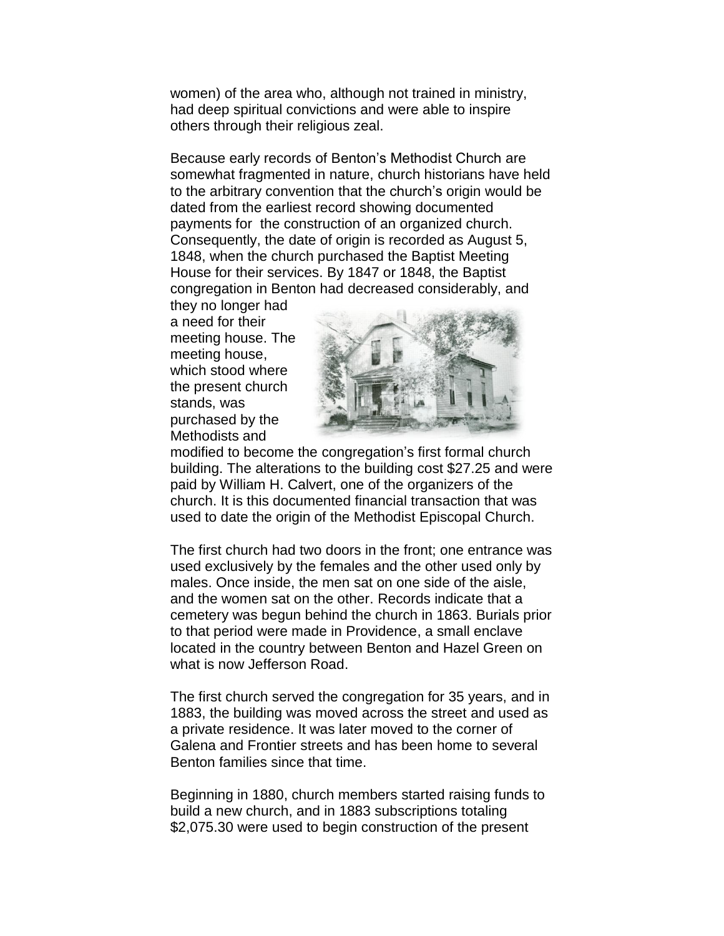women) of the area who, although not trained in ministry, had deep spiritual convictions and were able to inspire others through their religious zeal.

Because early records of Benton's Methodist Church are somewhat fragmented in nature, church historians have held to the arbitrary convention that the church's origin would be dated from the earliest record showing documented payments for the construction of an organized church. Consequently, the date of origin is recorded as August 5, 1848, when the church purchased the Baptist Meeting House for their services. By 1847 or 1848, the Baptist congregation in Benton had decreased considerably, and

they no longer had a need for their meeting house. The meeting house, which stood where the present church stands, was purchased by the Methodists and



modified to become the congregation's first formal church building. The alterations to the building cost \$27.25 and were paid by William H. Calvert, one of the organizers of the church. It is this documented financial transaction that was used to date the origin of the Methodist Episcopal Church.

The first church had two doors in the front; one entrance was used exclusively by the females and the other used only by males. Once inside, the men sat on one side of the aisle, and the women sat on the other. Records indicate that a cemetery was begun behind the church in 1863. Burials prior to that period were made in Providence, a small enclave located in the country between Benton and Hazel Green on what is now Jefferson Road.

The first church served the congregation for 35 years, and in 1883, the building was moved across the street and used as a private residence. It was later moved to the corner of Galena and Frontier streets and has been home to several Benton families since that time.

Beginning in 1880, church members started raising funds to build a new church, and in 1883 subscriptions totaling \$2,075.30 were used to begin construction of the present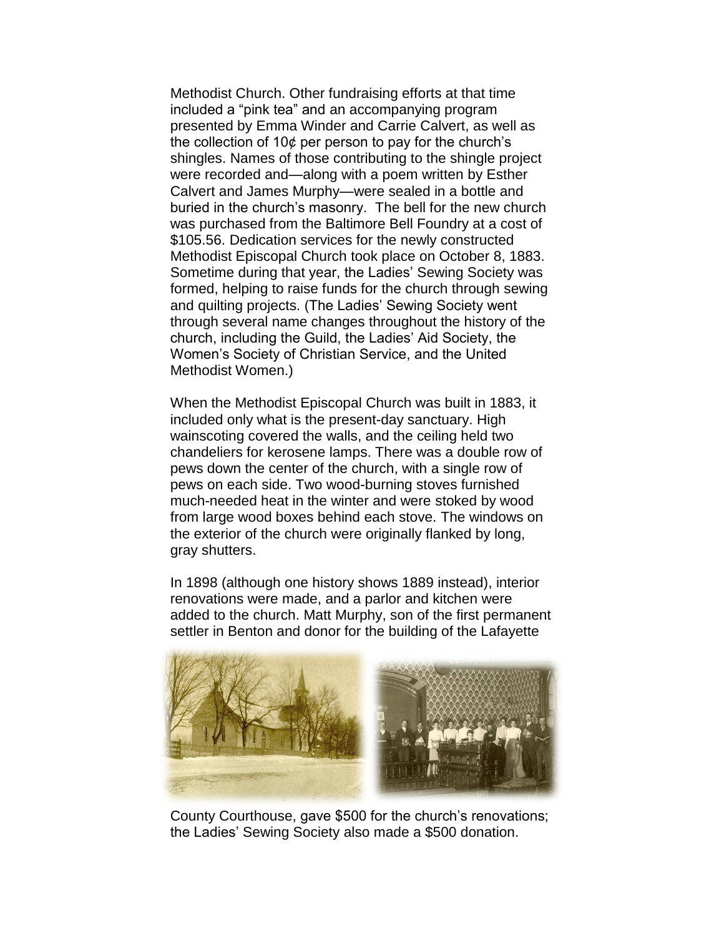Methodist Church. Other fundraising efforts at that time included a "pink tea" and an accompanying program presented by Emma Winder and Carrie Calvert, as well as the collection of 10¢ per person to pay for the church's shingles. Names of those contributing to the shingle project were recorded and—along with a poem written by Esther Calvert and James Murphy—were sealed in a bottle and buried in the church's masonry. The bell for the new church was purchased from the Baltimore Bell Foundry at a cost of \$105.56. Dedication services for the newly constructed Methodist Episcopal Church took place on October 8, 1883. Sometime during that year, the Ladies' Sewing Society was formed, helping to raise funds for the church through sewing and quilting projects. (The Ladies' Sewing Society went through several name changes throughout the history of the church, including the Guild, the Ladies' Aid Society, the Women's Society of Christian Service, and the United Methodist Women.)

When the Methodist Episcopal Church was built in 1883, it included only what is the present-day sanctuary. High wainscoting covered the walls, and the ceiling held two chandeliers for kerosene lamps. There was a double row of pews down the center of the church, with a single row of pews on each side. Two wood-burning stoves furnished much-needed heat in the winter and were stoked by wood from large wood boxes behind each stove. The windows on the exterior of the church were originally flanked by long, gray shutters.

In 1898 (although one history shows 1889 instead), interior renovations were made, and a parlor and kitchen were added to the church. Matt Murphy, son of the first permanent settler in Benton and donor for the building of the Lafayette



County Courthouse, gave \$500 for the church's renovations; the Ladies' Sewing Society also made a \$500 donation.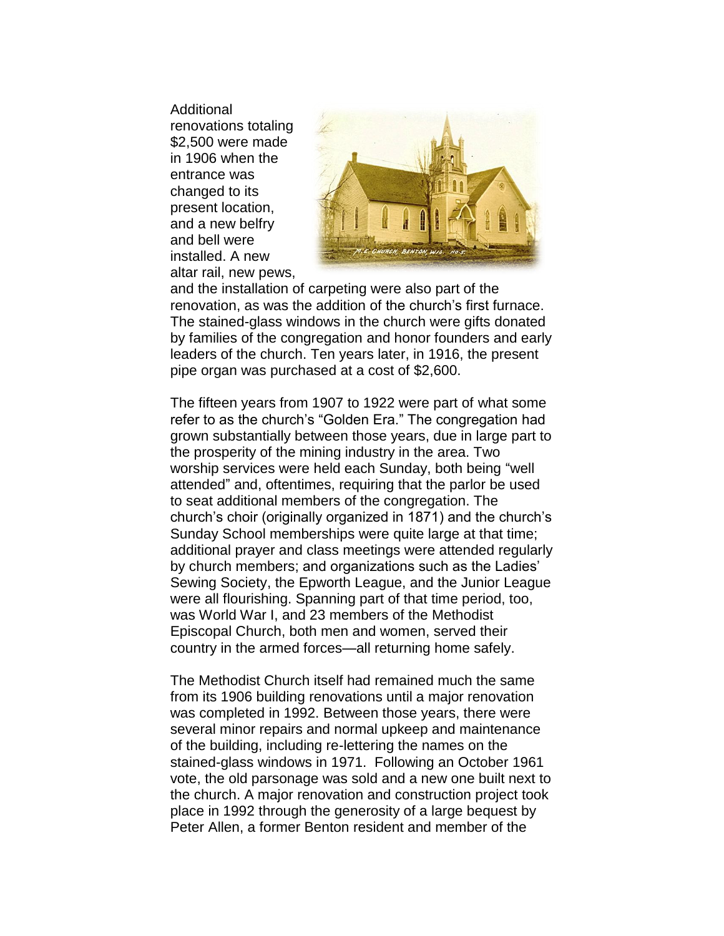**Additional** renovations totaling \$2,500 were made in 1906 when the entrance was changed to its present location, and a new belfry and bell were installed. A new altar rail, new pews,



and the installation of carpeting were also part of the renovation, as was the addition of the church's first furnace. The stained-glass windows in the church were gifts donated by families of the congregation and honor founders and early leaders of the church. Ten years later, in 1916, the present pipe organ was purchased at a cost of \$2,600.

The fifteen years from 1907 to 1922 were part of what some refer to as the church's "Golden Era." The congregation had grown substantially between those years, due in large part to the prosperity of the mining industry in the area. Two worship services were held each Sunday, both being "well attended" and, oftentimes, requiring that the parlor be used to seat additional members of the congregation. The church's choir (originally organized in 1871) and the church's Sunday School memberships were quite large at that time; additional prayer and class meetings were attended regularly by church members; and organizations such as the Ladies' Sewing Society, the Epworth League, and the Junior League were all flourishing. Spanning part of that time period, too, was World War I, and 23 members of the Methodist Episcopal Church, both men and women, served their country in the armed forces—all returning home safely.

The Methodist Church itself had remained much the same from its 1906 building renovations until a major renovation was completed in 1992. Between those years, there were several minor repairs and normal upkeep and maintenance of the building, including re-lettering the names on the stained-glass windows in 1971. Following an October 1961 vote, the old parsonage was sold and a new one built next to the church. A major renovation and construction project took place in 1992 through the generosity of a large bequest by Peter Allen, a former Benton resident and member of the